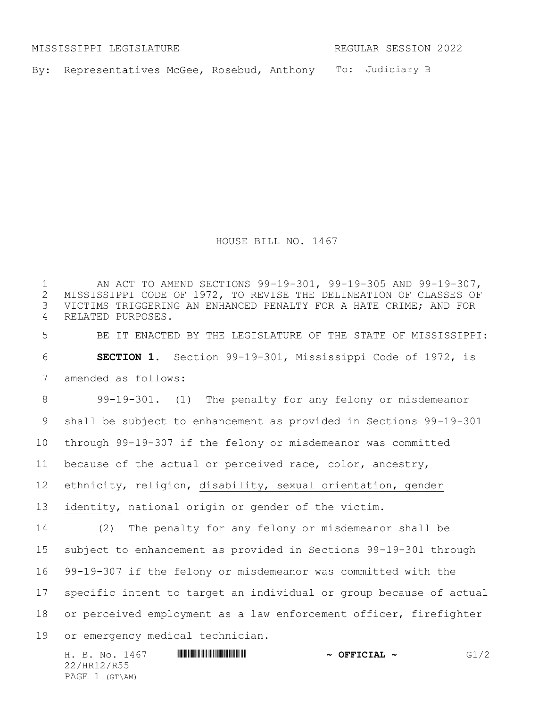MISSISSIPPI LEGISLATURE REGULAR SESSION 2022

By: Representatives McGee, Rosebud, Anthony To: Judiciary B

HOUSE BILL NO. 1467

1 MISSISSIPPI CODE OF 1972, TO REVISE THE DELINEATION OF CLASSES OF 1972, TO REVISE THE DELINEATION OF CLASSES OF 2 MISSISSIPPI CODE OF 1972, TO REVISE THE DELINEATION OF CLASSES OF<br>3 VICTIMS TRIGGERING AN ENHANCED PENALTY FOR A HATE CRIME; AND FOR VICTIMS TRIGGERING AN ENHANCED PENALTY FOR A HATE CRIME; AND FOR RELATED PURPOSES. BE IT ENACTED BY THE LEGISLATURE OF THE STATE OF MISSISSIPPI: **SECTION 1.** Section 99-19-301, Mississippi Code of 1972, is amended as follows: 99-19-301. (1) The penalty for any felony or misdemeanor shall be subject to enhancement as provided in Sections 99-19-301 through 99-19-307 if the felony or misdemeanor was committed because of the actual or perceived race, color, ancestry, ethnicity, religion, disability, sexual orientation, gender identity, national origin or gender of the victim. (2) The penalty for any felony or misdemeanor shall be subject to enhancement as provided in Sections 99-19-301 through 99-19-307 if the felony or misdemeanor was committed with the specific intent to target an individual or group because of actual or perceived employment as a law enforcement officer, firefighter or emergency medical technician.

H. B. No. 1467 \*HR12/R55\* **~ OFFICIAL ~** G1/2 22/HR12/R55 PAGE 1 (GT\AM)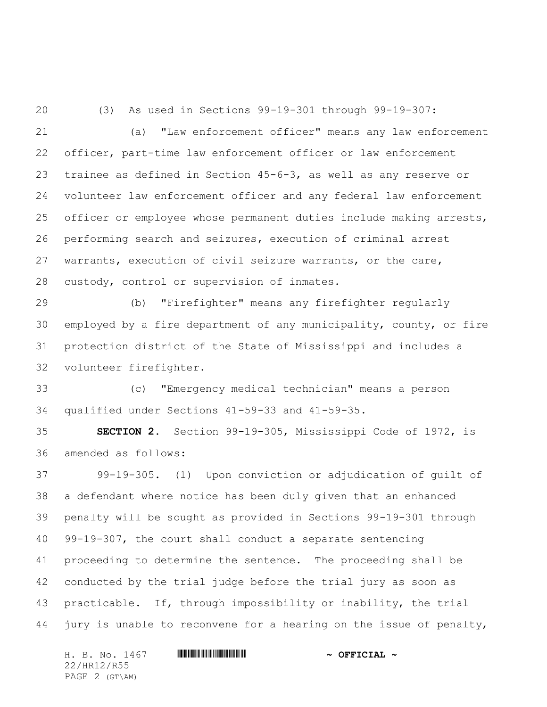(3) As used in Sections 99-19-301 through 99-19-307:

 (a) "Law enforcement officer" means any law enforcement officer, part-time law enforcement officer or law enforcement trainee as defined in Section 45-6-3, as well as any reserve or volunteer law enforcement officer and any federal law enforcement officer or employee whose permanent duties include making arrests, performing search and seizures, execution of criminal arrest warrants, execution of civil seizure warrants, or the care, custody, control or supervision of inmates.

 (b) "Firefighter" means any firefighter regularly employed by a fire department of any municipality, county, or fire protection district of the State of Mississippi and includes a volunteer firefighter.

 (c) "Emergency medical technician" means a person qualified under Sections 41-59-33 and 41-59-35.

 **SECTION 2.** Section 99-19-305, Mississippi Code of 1972, is amended as follows:

 99-19-305. (1) Upon conviction or adjudication of guilt of a defendant where notice has been duly given that an enhanced penalty will be sought as provided in Sections 99-19-301 through 99-19-307, the court shall conduct a separate sentencing proceeding to determine the sentence. The proceeding shall be conducted by the trial judge before the trial jury as soon as practicable. If, through impossibility or inability, the trial jury is unable to reconvene for a hearing on the issue of penalty,

H. B. No. 1467 \*HR12/R55\* **~ OFFICIAL ~** 22/HR12/R55 PAGE 2 (GT\AM)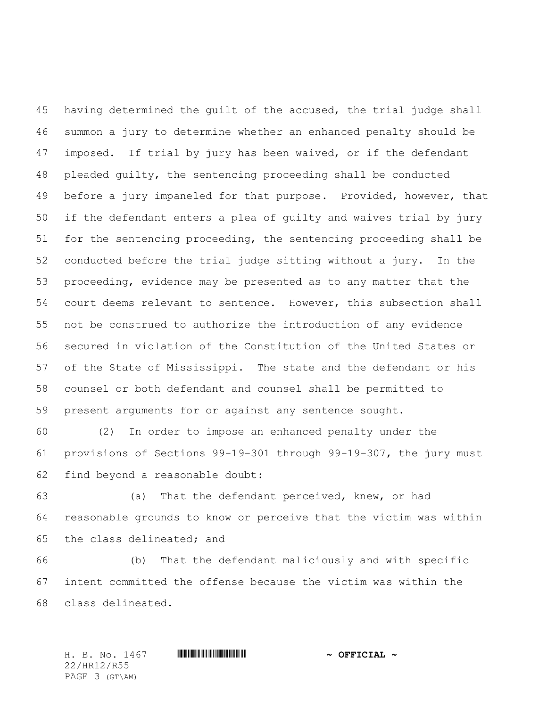having determined the guilt of the accused, the trial judge shall summon a jury to determine whether an enhanced penalty should be imposed. If trial by jury has been waived, or if the defendant pleaded guilty, the sentencing proceeding shall be conducted before a jury impaneled for that purpose. Provided, however, that if the defendant enters a plea of guilty and waives trial by jury for the sentencing proceeding, the sentencing proceeding shall be conducted before the trial judge sitting without a jury. In the proceeding, evidence may be presented as to any matter that the court deems relevant to sentence. However, this subsection shall not be construed to authorize the introduction of any evidence secured in violation of the Constitution of the United States or of the State of Mississippi. The state and the defendant or his counsel or both defendant and counsel shall be permitted to present arguments for or against any sentence sought.

 (2) In order to impose an enhanced penalty under the provisions of Sections 99-19-301 through 99-19-307, the jury must find beyond a reasonable doubt:

 (a) That the defendant perceived, knew, or had reasonable grounds to know or perceive that the victim was within the class delineated; and

 (b) That the defendant maliciously and with specific intent committed the offense because the victim was within the class delineated.

H. B. No. 1467 \*HR12/R55\* **~ OFFICIAL ~** 22/HR12/R55 PAGE 3 (GT\AM)